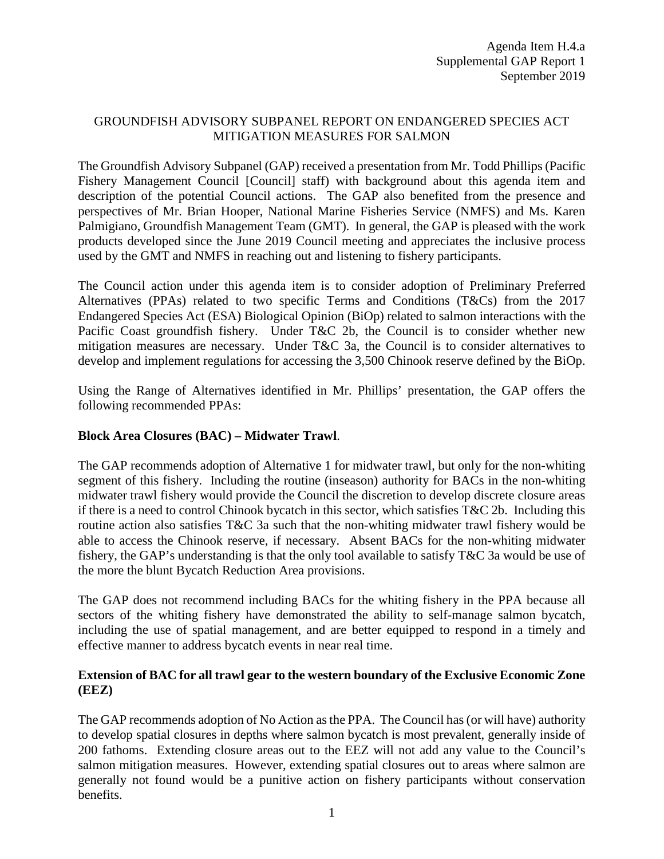# GROUNDFISH ADVISORY SUBPANEL REPORT ON ENDANGERED SPECIES ACT MITIGATION MEASURES FOR SALMON

The Groundfish Advisory Subpanel (GAP) received a presentation from Mr. Todd Phillips (Pacific Fishery Management Council [Council] staff) with background about this agenda item and description of the potential Council actions. The GAP also benefited from the presence and perspectives of Mr. Brian Hooper, National Marine Fisheries Service (NMFS) and Ms. Karen Palmigiano, Groundfish Management Team (GMT). In general, the GAP is pleased with the work products developed since the June 2019 Council meeting and appreciates the inclusive process used by the GMT and NMFS in reaching out and listening to fishery participants.

The Council action under this agenda item is to consider adoption of Preliminary Preferred Alternatives (PPAs) related to two specific Terms and Conditions (T&Cs) from the 2017 Endangered Species Act (ESA) Biological Opinion (BiOp) related to salmon interactions with the Pacific Coast groundfish fishery. Under T&C 2b, the Council is to consider whether new mitigation measures are necessary. Under T&C 3a, the Council is to consider alternatives to develop and implement regulations for accessing the 3,500 Chinook reserve defined by the BiOp.

Using the Range of Alternatives identified in Mr. Phillips' presentation, the GAP offers the following recommended PPAs:

# **Block Area Closures (BAC) – Midwater Trawl**.

The GAP recommends adoption of Alternative 1 for midwater trawl, but only for the non-whiting segment of this fishery. Including the routine (inseason) authority for BACs in the non-whiting midwater trawl fishery would provide the Council the discretion to develop discrete closure areas if there is a need to control Chinook bycatch in this sector, which satisfies T&C 2b. Including this routine action also satisfies T&C 3a such that the non-whiting midwater trawl fishery would be able to access the Chinook reserve, if necessary. Absent BACs for the non-whiting midwater fishery, the GAP's understanding is that the only tool available to satisfy T&C 3a would be use of the more the blunt Bycatch Reduction Area provisions.

The GAP does not recommend including BACs for the whiting fishery in the PPA because all sectors of the whiting fishery have demonstrated the ability to self-manage salmon bycatch, including the use of spatial management, and are better equipped to respond in a timely and effective manner to address bycatch events in near real time.

## **Extension of BAC for all trawl gear to the western boundary of the Exclusive Economic Zone (EEZ)**

The GAP recommends adoption of No Action as the PPA. The Council has (or will have) authority to develop spatial closures in depths where salmon bycatch is most prevalent, generally inside of 200 fathoms. Extending closure areas out to the EEZ will not add any value to the Council's salmon mitigation measures. However, extending spatial closures out to areas where salmon are generally not found would be a punitive action on fishery participants without conservation benefits.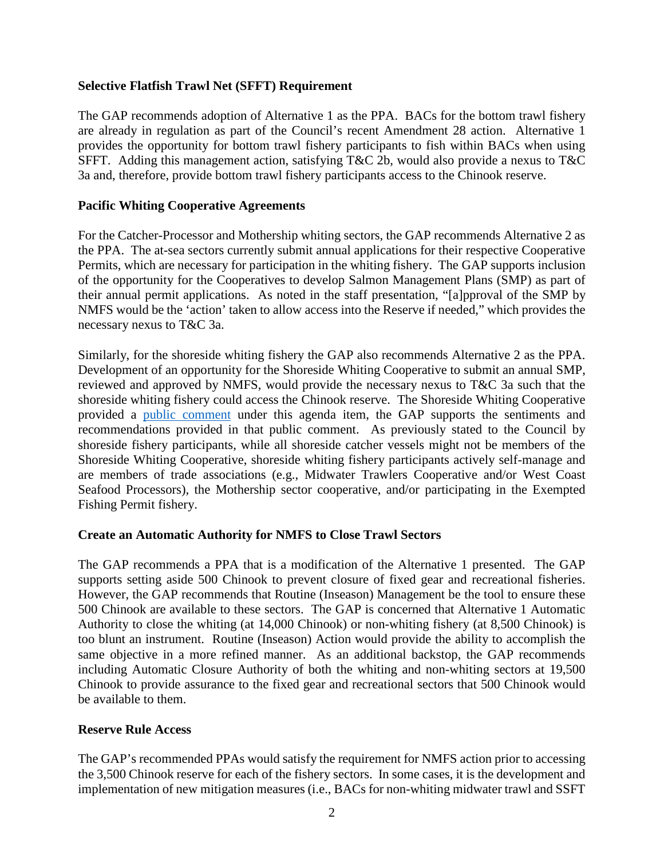## **Selective Flatfish Trawl Net (SFFT) Requirement**

The GAP recommends adoption of Alternative 1 as the PPA. BACs for the bottom trawl fishery are already in regulation as part of the Council's recent Amendment 28 action. Alternative 1 provides the opportunity for bottom trawl fishery participants to fish within BACs when using SFFT. Adding this management action, satisfying T&C 2b, would also provide a nexus to T&C 3a and, therefore, provide bottom trawl fishery participants access to the Chinook reserve.

## **Pacific Whiting Cooperative Agreements**

For the Catcher-Processor and Mothership whiting sectors, the GAP recommends Alternative 2 as the PPA. The at-sea sectors currently submit annual applications for their respective Cooperative Permits, which are necessary for participation in the whiting fishery. The GAP supports inclusion of the opportunity for the Cooperatives to develop Salmon Management Plans (SMP) as part of their annual permit applications. As noted in the staff presentation, "[a]pproval of the SMP by NMFS would be the 'action' taken to allow access into the Reserve if needed," which provides the necessary nexus to T&C 3a.

Similarly, for the shoreside whiting fishery the GAP also recommends Alternative 2 as the PPA. Development of an opportunity for the Shoreside Whiting Cooperative to submit an annual SMP, reviewed and approved by NMFS, would provide the necessary nexus to T&C 3a such that the shoreside whiting fishery could access the Chinook reserve. The Shoreside Whiting Cooperative provided a [public comment](https://pfmc.psmfc.org/CommentReview/DownloadFile?p=0965f395-b660-4ea6-b3a3-24f22c0d6418.pdf&fileName=SWC_public_comment_H4.pdf) under this agenda item, the GAP supports the sentiments and recommendations provided in that public comment. As previously stated to the Council by shoreside fishery participants, while all shoreside catcher vessels might not be members of the Shoreside Whiting Cooperative, shoreside whiting fishery participants actively self-manage and are members of trade associations (e.g., Midwater Trawlers Cooperative and/or West Coast Seafood Processors), the Mothership sector cooperative, and/or participating in the Exempted Fishing Permit fishery.

### **Create an Automatic Authority for NMFS to Close Trawl Sectors**

The GAP recommends a PPA that is a modification of the Alternative 1 presented. The GAP supports setting aside 500 Chinook to prevent closure of fixed gear and recreational fisheries. However, the GAP recommends that Routine (Inseason) Management be the tool to ensure these 500 Chinook are available to these sectors. The GAP is concerned that Alternative 1 Automatic Authority to close the whiting (at 14,000 Chinook) or non-whiting fishery (at 8,500 Chinook) is too blunt an instrument. Routine (Inseason) Action would provide the ability to accomplish the same objective in a more refined manner. As an additional backstop, the GAP recommends including Automatic Closure Authority of both the whiting and non-whiting sectors at 19,500 Chinook to provide assurance to the fixed gear and recreational sectors that 500 Chinook would be available to them.

### **Reserve Rule Access**

The GAP's recommended PPAs would satisfy the requirement for NMFS action prior to accessing the 3,500 Chinook reserve for each of the fishery sectors. In some cases, it is the development and implementation of new mitigation measures (i.e., BACs for non-whiting midwater trawl and SSFT